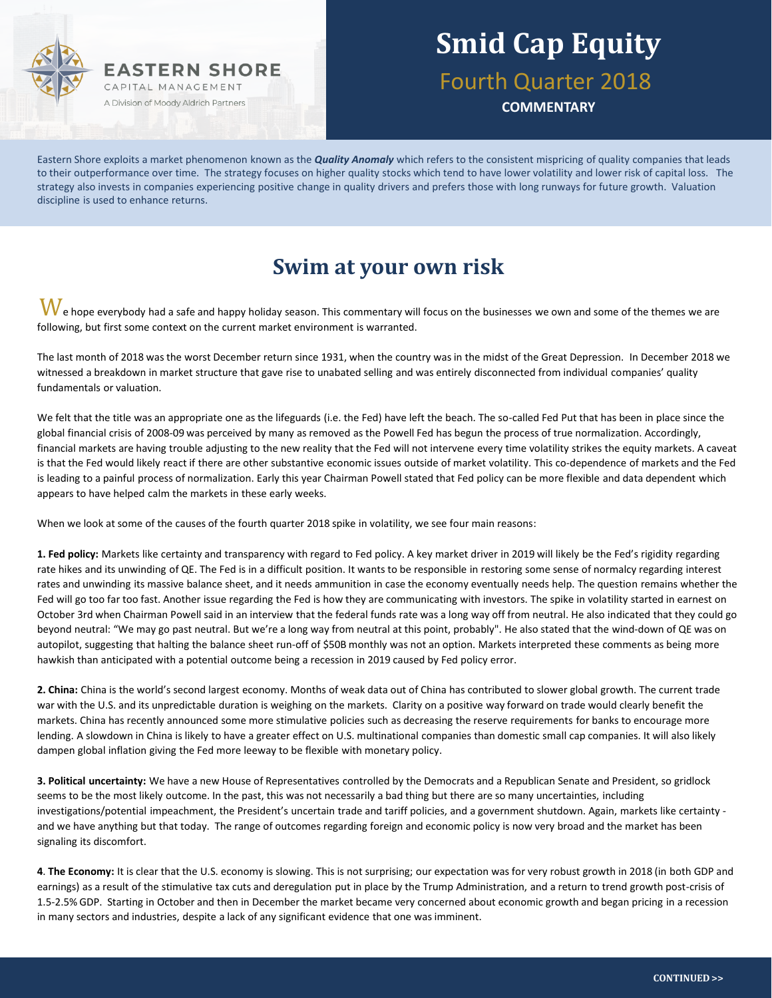

# **Smid Cap Equity** Fourth Quarter 2018

**COMMENTARY**

Eastern Shore exploits a market phenomenon known as the *Quality Anomaly* which refers to the consistent mispricing of quality companies that leads to their outperformance over time. The strategy focuses on higher quality stocks which tend to have lower volatility and lower risk of capital loss. The strategy also invests in companies experiencing positive change in quality drivers and prefers those with long runways for future growth. Valuation discipline is used to enhance returns.

### **Swim at your own risk**

 $\bf W$ e hope everybody had a safe and happy holiday season. This commentary will focus on the businesses we own and some of the themes we are following, but first some context on the current market environment is warranted.

The last month of 2018 was the worst December return since 1931, when the country was in the midst of the Great Depression. In December 2018 we witnessed a breakdown in market structure that gave rise to unabated selling and was entirely disconnected from individual companies' quality fundamentals or valuation.

We felt that the title was an appropriate one as the lifeguards (i.e. the Fed) have left the beach. The so-called Fed Put that has been in place since the global financial crisis of 2008-09 was perceived by many as removed as the Powell Fed has begun the process of true normalization. Accordingly, financial markets are having trouble adjusting to the new reality that the Fed will not intervene every time volatility strikes the equity markets. A caveat is that the Fed would likely react if there are other substantive economic issues outside of market volatility. This co-dependence of markets and the Fed is leading to a painful process of normalization. Early this year Chairman Powell stated that Fed policy can be more flexible and data dependent which appears to have helped calm the markets in these early weeks.

When we look at some of the causes of the fourth quarter 2018 spike in volatility, we see four main reasons:

**1. Fed policy:** Markets like certainty and transparency with regard to Fed policy. A key market driver in 2019 will likely be the Fed's rigidity regarding rate hikes and its unwinding of QE. The Fed is in a difficult position. It wants to be responsible in restoring some sense of normalcy regarding interest rates and unwinding its massive balance sheet, and it needs ammunition in case the economy eventually needs help. The question remains whether the Fed will go too far too fast. Another issue regarding the Fed is how they are communicating with investors. The spike in volatility started in earnest on October 3rd when Chairman Powell said in an interview that the federal funds rate was a long way off from neutral. He also indicated that they could go beyond neutral: "We may go past neutral. But we're a long way from neutral at this point, probably". He also stated that the wind-down of QE was on autopilot, suggesting that halting the balance sheet run-off of \$50B monthly was not an option. Markets interpreted these comments as being more hawkish than anticipated with a potential outcome being a recession in 2019 caused by Fed policy error.

**2. China:** China is the world's second largest economy. Months of weak data out of China has contributed to slower global growth. The current trade war with the U.S. and its unpredictable duration is weighing on the markets. Clarity on a positive way forward on trade would clearly benefit the markets. China has recently announced some more stimulative policies such as decreasing the reserve requirements for banks to encourage more lending. A slowdown in China is likely to have a greater effect on U.S. multinational companies than domestic small cap companies. It will also likely dampen global inflation giving the Fed more leeway to be flexible with monetary policy.

**3. Political uncertainty:** We have a new House of Representatives controlled by the Democrats and a Republican Senate and President, so gridlock seems to be the most likely outcome. In the past, this was not necessarily a bad thing but there are so many uncertainties, including investigations/potential impeachment, the President's uncertain trade and tariff policies, and a government shutdown. Again, markets like certainty and we have anything but that today. The range of outcomes regarding foreign and economic policy is now very broad and the market has been signaling its discomfort.

**4**. **The Economy:** It is clear that the U.S. economy is slowing. This is not surprising; our expectation was for very robust growth in 2018 (in both GDP and earnings) as a result of the stimulative tax cuts and deregulation put in place by the Trump Administration, and a return to trend growth post-crisis of 1.5-2.5% GDP. Starting in October and then in December the market became very concerned about economic growth and began pricing in a recession in many sectors and industries, despite a lack of any significant evidence that one was imminent.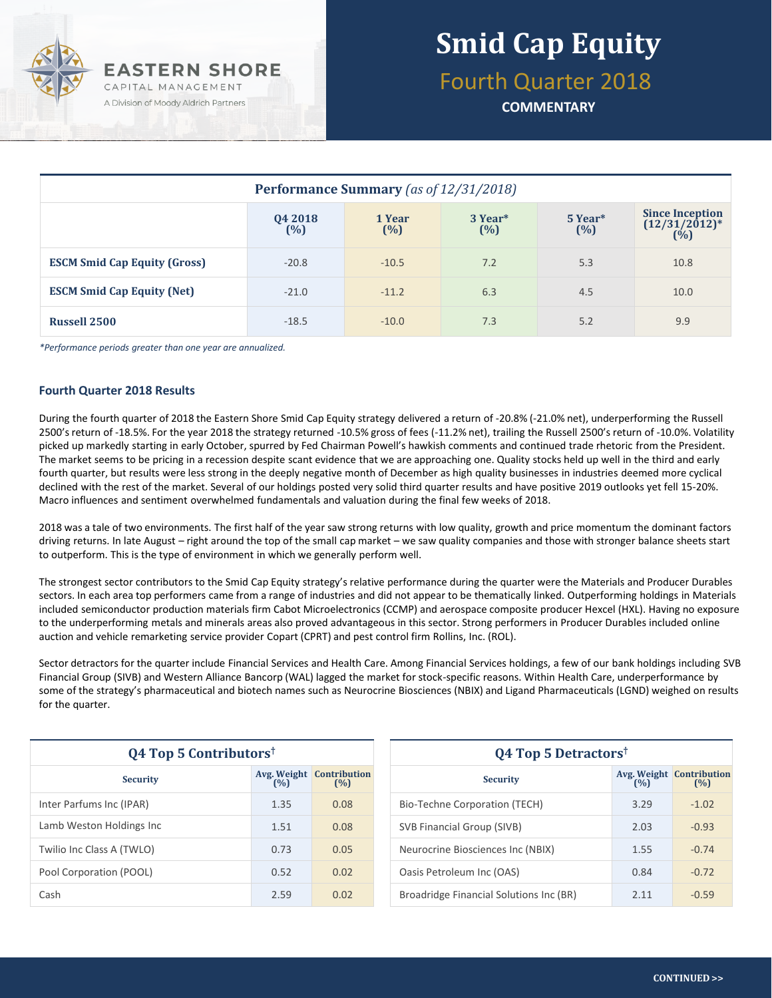

Fourth Quarter 2018

**COMMENTARY**

| Performance Summary (as of 12/31/2018) |                   |               |                            |                            |                                                                            |  |  |
|----------------------------------------|-------------------|---------------|----------------------------|----------------------------|----------------------------------------------------------------------------|--|--|
|                                        | 04 2018<br>$(\%)$ | 1 Year<br>(%) | 3 Year <sup>*</sup><br>(%) | 5 Year <sup>*</sup><br>(%) | <b>Since Inception</b><br>$(12/31/2012)^*$<br>$(^{\dot{0}}\!\!\!/\!\!\!o)$ |  |  |
| <b>ESCM Smid Cap Equity (Gross)</b>    | $-20.8$           | $-10.5$       | 7.2                        | 5.3                        | 10.8                                                                       |  |  |
| <b>ESCM Smid Cap Equity (Net)</b>      | $-21.0$           | $-11.2$       | 6.3                        | 4.5                        | 10.0                                                                       |  |  |
| <b>Russell 2500</b>                    | $-18.5$           | $-10.0$       | 7.3                        | 5.2                        | 9.9                                                                        |  |  |

*\*Performance periods greater than one year are annualized.*

### **Fourth Quarter 2018 Results**

During the fourth quarter of 2018 the Eastern Shore Smid Cap Equity strategy delivered a return of -20.8% (-21.0% net), underperforming the Russell 2500's return of -18.5%. For the year 2018 the strategy returned -10.5% gross of fees (-11.2% net), trailing the Russell 2500's return of -10.0%. Volatility picked up markedly starting in early October, spurred by Fed Chairman Powell's hawkish comments and continued trade rhetoric from the President. The market seems to be pricing in a recession despite scant evidence that we are approaching one. Quality stocks held up well in the third and early fourth quarter, but results were less strong in the deeply negative month of December as high quality businesses in industries deemed more cyclical declined with the rest of the market. Several of our holdings posted very solid third quarter results and have positive 2019 outlooks yet fell 15-20%. Macro influences and sentiment overwhelmed fundamentals and valuation during the final few weeks of 2018.

2018 was a tale of two environments. The first half of the year saw strong returns with low quality, growth and price momentum the dominant factors driving returns. In late August – right around the top of the small cap market – we saw quality companies and those with stronger balance sheets start to outperform. This is the type of environment in which we generally perform well.

The strongest sector contributors to the Smid Cap Equity strategy's relative performance during the quarter were the Materials and Producer Durables sectors. In each area top performers came from a range of industries and did not appear to be thematically linked. Outperforming holdings in Materials included semiconductor production materials firm Cabot Microelectronics (CCMP) and aerospace composite producer Hexcel (HXL). Having no exposure to the underperforming metals and minerals areas also proved advantageous in this sector. Strong performers in Producer Durables included online auction and vehicle remarketing service provider Copart (CPRT) and pest control firm Rollins, Inc. (ROL).

Sector detractors for the quarter include Financial Services and Health Care. Among Financial Services holdings, a few of our bank holdings including SVB Financial Group (SIVB) and Western Alliance Bancorp (WAL) lagged the market for stock-specific reasons. Within Health Care, underperformance by some of the strategy's pharmaceutical and biotech names such as Neurocrine Biosciences (NBIX) and Ligand Pharmaceuticals (LGND) weighed on results for the quarter.

| <b>Q4 Top 5 Contributors</b> <sup>†</sup> |                    |                            |  |  |  |
|-------------------------------------------|--------------------|----------------------------|--|--|--|
| <b>Security</b>                           | Avg. Weight<br>(%) | <b>Contribution</b><br>(%) |  |  |  |
| Inter Parfums Inc (IPAR)                  | 1.35               | 0.08                       |  |  |  |
| Lamb Weston Holdings Inc                  | 1.51               | 0.08                       |  |  |  |
| Twilio Inc Class A (TWLO)                 | 0.73               | 0.05                       |  |  |  |
| Pool Corporation (POOL)                   | 0.52               | 0.02                       |  |  |  |
| Cash                                      | 2.59               | 0.02                       |  |  |  |

| $Q4$ Top 5 Detractors <sup>†</sup>      |       |                                        |  |  |  |
|-----------------------------------------|-------|----------------------------------------|--|--|--|
| <b>Security</b>                         | (%)   | <b>Avg. Weight Contribution</b><br>(%) |  |  |  |
| Bio-Techne Corporation (TECH)           | 3.29  | $-1.02$                                |  |  |  |
| SVB Financial Group (SIVB)              | 2.03  | $-0.93$                                |  |  |  |
| Neurocrine Biosciences Inc (NBIX)       | 1.55  | $-0.74$                                |  |  |  |
| Oasis Petroleum Inc (OAS)               | 0.84  | $-0.72$                                |  |  |  |
| Broadridge Financial Solutions Inc (BR) | 2 1 1 | $-0.59$                                |  |  |  |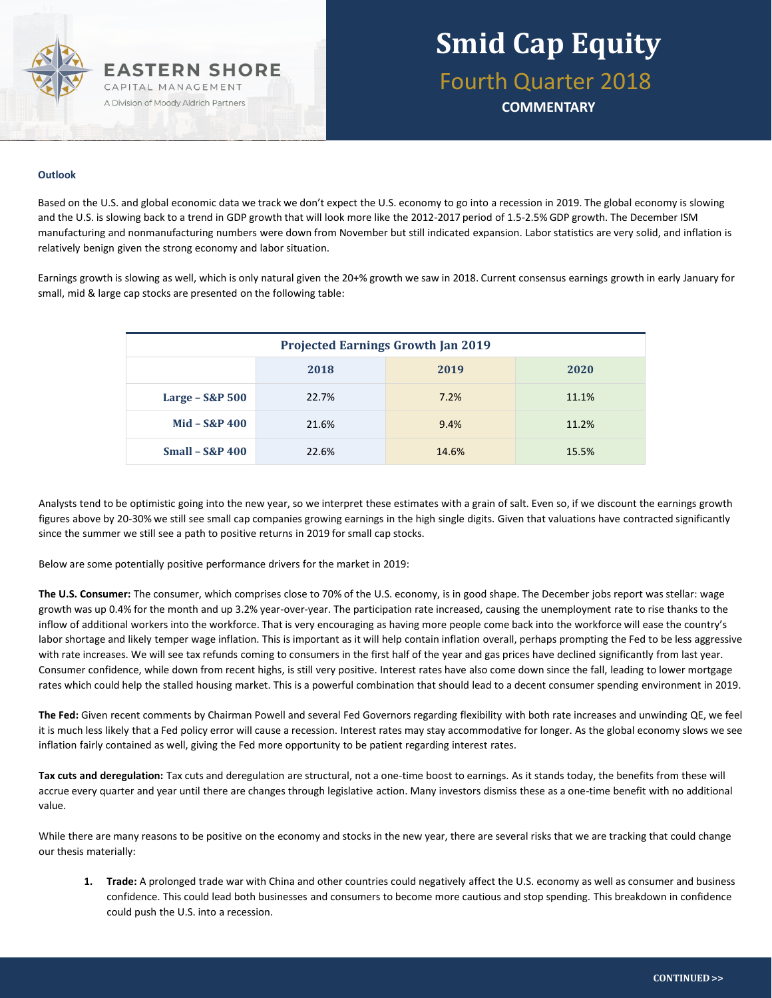

**COMMENTARY**

#### **Outlook**

Based on the U.S. and global economic data we track we don't expect the U.S. economy to go into a recession in 2019. The global economy is slowing and the U.S. is slowing back to a trend in GDP growth that will look more like the 2012-2017 period of 1.5-2.5% GDP growth. The December ISM manufacturing and nonmanufacturing numbers were down from November but still indicated expansion. Labor statistics are very solid, and inflation is relatively benign given the strong economy and labor situation.

Earnings growth is slowing as well, which is only natural given the 20+% growth we saw in 2018. Current consensus earnings growth in early January for small, mid & large cap stocks are presented on the following table:

| <b>Projected Earnings Growth Jan 2019</b> |       |       |       |  |  |  |
|-------------------------------------------|-------|-------|-------|--|--|--|
|                                           | 2018  | 2019  | 2020  |  |  |  |
| Large $-$ S&P 500                         | 22.7% | 7.2%  | 11.1% |  |  |  |
| $Mid - S&P 400$                           | 21.6% | 9.4%  | 11.2% |  |  |  |
| $Small - S&P 400$                         | 22.6% | 14.6% | 15.5% |  |  |  |

Analysts tend to be optimistic going into the new year, so we interpret these estimates with a grain of salt. Even so, if we discount the earnings growth figures above by 20-30% we still see small cap companies growing earnings in the high single digits. Given that valuations have contracted significantly since the summer we still see a path to positive returns in 2019 for small cap stocks.

Below are some potentially positive performance drivers for the market in 2019:

**The U.S. Consumer:** The consumer, which comprises close to 70% of the U.S. economy, is in good shape. The December jobs report was stellar: wage growth was up 0.4% for the month and up 3.2% year-over-year. The participation rate increased, causing the unemployment rate to rise thanks to the inflow of additional workers into the workforce. That is very encouraging as having more people come back into the workforce will ease the country's labor shortage and likely temper wage inflation. This is important as it will help contain inflation overall, perhaps prompting the Fed to be less aggressive with rate increases. We will see tax refunds coming to consumers in the first half of the year and gas prices have declined significantly from last year. Consumer confidence, while down from recent highs, is still very positive. Interest rates have also come down since the fall, leading to lower mortgage rates which could help the stalled housing market. This is a powerful combination that should lead to a decent consumer spending environment in 2019.

**The Fed:** Given recent comments by Chairman Powell and several Fed Governors regarding flexibility with both rate increases and unwinding QE, we feel it is much less likely that a Fed policy error will cause a recession. Interest rates may stay accommodative for longer. As the global economy slows we see inflation fairly contained as well, giving the Fed more opportunity to be patient regarding interest rates.

**Tax cuts and deregulation:** Tax cuts and deregulation are structural, not a one-time boost to earnings. As it stands today, the benefits from these will accrue every quarter and year until there are changes through legislative action. Many investors dismiss these as a one-time benefit with no additional value.

While there are many reasons to be positive on the economy and stocks in the new year, there are several risks that we are tracking that could change our thesis materially:

**1. Trade:** A prolonged trade war with China and other countries could negatively affect the U.S. economy as well as consumer and business confidence. This could lead both businesses and consumers to become more cautious and stop spending. This breakdown in confidence could push the U.S. into a recession.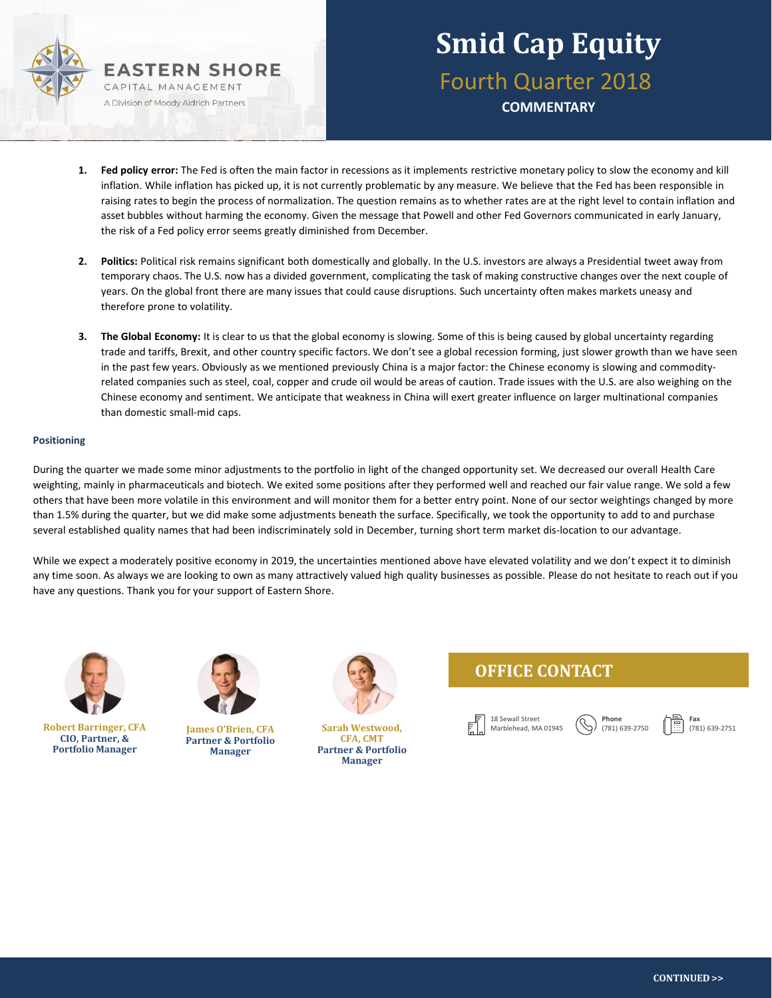

## **Smid Cap Equity** Fourth Quarter 2018 **COMMENTARY**

- **1. Fed policy error:** The Fed is often the main factor in recessions as it implements restrictive monetary policy to slow the economy and kill inflation. While inflation has picked up, it is not currently problematic by any measure. We believe that the Fed has been responsible in raising rates to begin the process of normalization. The question remains as to whether rates are at the right level to contain inflation and asset bubbles without harming the economy. Given the message that Powell and other Fed Governors communicated in early January, the risk of a Fed policy error seems greatly diminished from December.
- **2. Politics:** Political risk remains significant both domestically and globally. In the U.S. investors are always a Presidential tweet away from temporary chaos. The U.S. now has a divided government, complicating the task of making constructive changes over the next couple of years. On the global front there are many issues that could cause disruptions. Such uncertainty often makes markets uneasy and therefore prone to volatility.
- **3. The Global Economy:** It is clear to us that the global economy is slowing. Some of this is being caused by global uncertainty regarding trade and tariffs, Brexit, and other country specific factors. We don't see a global recession forming, just slower growth than we have seen in the past few years. Obviously as we mentioned previously China is a major factor: the Chinese economy is slowing and commodityrelated companies such as steel, coal, copper and crude oil would be areas of caution. Trade issues with the U.S. are also weighing on the Chinese economy and sentiment. We anticipate that weakness in China will exert greater influence on larger multinational companies than domestic small-mid caps.

#### **Positioning**

During the quarter we made some minor adjustments to the portfolio in light of the changed opportunity set. We decreased our overall Health Care weighting, mainly in pharmaceuticals and biotech. We exited some positions after they performed well and reached our fair value range. We sold a few others that have been more volatile in this environment and will monitor them for a better entry point. None of our sector weightings changed by more than 1.5% during the quarter, but we did make some adjustments beneath the surface. Specifically, we took the opportunity to add to and purchase several established quality names that had been indiscriminately sold in December, turning short term market dis-location to our advantage.

While we expect a moderately positive economy in 2019, the uncertainties mentioned above have elevated volatility and we don't expect it to diminish any time soon. As always we are looking to own as many attractively valued high quality businesses as possible. Please do not hesitate to reach out if you have any questions. Thank you for your support of Eastern Shore.



**Robert Barringer, CFA CIO, Partner, & Portfolio Manager**



**James O'Brien, CFA Partner & Portfolio Manager**



**Sarah Westwood, CFA, CMT Partner & Portfolio Manager**

### **OFFICE CONTACT**



**Fax** (781) 639-2751